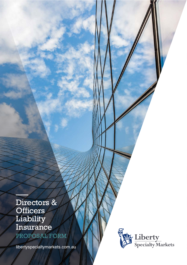# Directors & **Officers** Liability Insurance PROPOSAL FORM

–––

[libertyspecialtymarkets.com.au](https://www.libertyspecialtymarketsap.com/)

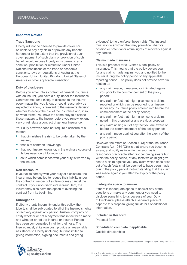#### **Important Notices**

#### **Trade Sanctions**

Liberty will not be deemed to provide cover nor be liable to pay any claim or provide any benefit hereunder to the extent that the provision of such cover, payment of such claim or provision of such benefit would expose Liberty or its parent to any sanction, prohibition or restriction under United Nations resolutions or the trade or economic sanctions, laws or regulations of Australia, the European Union, United Kingdom, United States of America or other applicable jurisdiction.

# **Duty of disclosure**

Before you enter into a contract of general insurance with an insurer, you have a duty, under the Insurance Contracts Act 1984 (Cth), to disclose to the insurer every matter that you know, or could reasonably be expected to know, is relevant to the insurer's decision whether to accept the risk of the insurance and, if so, on what terms. You have the same duty to disclose those matters to the insurer before you renew, extend, vary or reinstate a contract of general insurance.

Your duty however does not require disclosure of a matter:

- $\blacktriangleright$  that diminishes the risk to be undertaken by the insurer;
- that is of common knowledge;
- that your insurer knows or, in the ordinary course of its business, ought to know; or
- as to which compliance with your duty is waived by the insurer.

#### **Non disclosure**

If you fail to comply with your duty of disclosure, the insurer may be entitled to reduce their liability under the contract in respect of a claim or may cancel the contract. If your non-disclosure is fraudulent, the insurer may also have the option of avoiding the contract from its beginning.

## **Subrogation**

If Liberty grants indemnity under this policy, then Liberty shall be subrogated to all of the Insured's rights of recovery against any person, trustee, company or entity whether or not a payment has in fact been made and whether or not the Insured or Insured Person has been compensated in full for their loss. The Insured must, at its own cost, provide all reasonable assistance to Liberty (including, but not limited to giving information, signing documents and giving



#### **Claims made insurance**

This is a proposal for a 'Claims Made' policy of insurance. This means that the policy covers you for any claims made against you and notified to the insurer during the policy period or any applicable reporting period. The policy does not provide cover in relation to:

- any claim made, threatened or intimated against you prior to the commencement of the policy period;
- $\triangleright$  any claim or fact that might give rise to a claim. reported or which can be reported to an insurer under any insurance policy entered into before the commencement of the policy period;
- any claim or fact that might give rise to a claim, noted in this proposal or any previous proposal;
- any claim arising out of any fact you are aware of before the commencement of the policy period;
- any claim made against you after the expiry of the policy period.

However, the effect of Section 40(3) of the Insurance Contracts Act 1984 (Cth) is that where you become aware, and notify us in writing as soon as is reasonably practicable after first becoming aware but within the policy period, of any facts which might give rise to a claim against you, any claim which does arise out of such facts shall be deemed to have been made during the policy period, notwithstanding that the claim was made against you after the expiry of the policy period.

#### **Inadequate space to answer**

If there is inadequate space to answer any of the questions or make any comment or you need to disclose something to us because of your Duty of Disclosure, please attach a separate piece of paper to this proposal giving full details of additional information.

# **Included in this form**

Proposal form

**Schedule to complete if applicable** Outside directorships



Professional & Financial Risks | D&O Liability Insurance | Proposal Form | AU | April 2022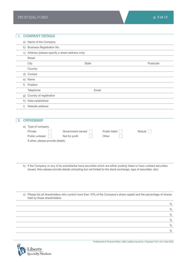| 1. |           | <b>COMPANY DETAILS</b>                                 |
|----|-----------|--------------------------------------------------------|
|    |           | a) Name of the Company                                 |
|    |           | b) Business Registration No.                           |
|    |           | c) Address (please specify a street address only)      |
|    |           | <b>Street</b>                                          |
|    |           | Postcode<br><b>State</b><br>City                       |
|    |           | Country                                                |
|    |           | d) Contact                                             |
|    |           | e) Name                                                |
|    | $f$ )     | Position                                               |
|    |           | Telephone<br>Email                                     |
|    | g)        | Country of registration                                |
|    | h)        | Date established                                       |
|    | $\vert$ ) | Website address                                        |
|    |           |                                                        |
| 2. |           | <b>OWNERSHIP</b>                                       |
|    |           | a) Type of company                                     |
|    |           | Private<br>Public listed<br>Government owned<br>Mutual |
|    |           | Public unlisted<br>Not for profit<br>Other             |
|    |           | If other, please provide details:                      |
|    |           |                                                        |

b) If the Company or any of its subsidiaries have securities which are either publicly listed or have unlisted securities issued, then please provide details (including but not limited to the stock exchange, type of securities, etc):

c) Please list all shareholders who control more than 10% of the Company's share capital and the percentage of shares held by those shareholders.





Professional & Financial Risks | D&O Liability Insurance | Proposal Form | AU | April 2022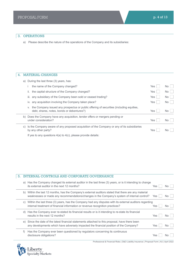# 3. OPERATIONS

a) Please describe the nature of the operations of the Company and its subsidiaries:

# 4. MATERIAL CHANGES

| a) |    | During the last three (3) years, has:                                                                                                 |            |      |
|----|----|---------------------------------------------------------------------------------------------------------------------------------------|------------|------|
|    |    | the name of the Company changed?                                                                                                      | Yes        | No I |
|    | Ш. | the capital structure of the Company changed?                                                                                         | <b>Yes</b> | No I |
|    |    | iii. any subsidiary of the Company been sold or ceased trading?                                                                       | Yes        | No I |
|    |    | iv. any acquisition involving the Company taken place?                                                                                | <b>Yes</b> | No I |
|    | V. | the Company issued any prospectus or public offering of securities (including equities,<br>debt, shares, notes, bonds or debentures?) | <b>Yes</b> | No.  |
| b) |    | Does the Company have any acquisition, tender offers or mergers pending or<br>under consideration?                                    | <b>Yes</b> | No.  |
| C) |    | Is the Company aware of any proposed acquisition of the Company or any of its subsidiaries<br>by any other party?                     | Yes        | No.  |
|    |    | If yes to any questions $4(a)$ to $4(c)$ , please provide details:                                                                    |            |      |

# 5. INTERNAL CONTROLS AND CORPORATE GOVERNANCE

| a) | Has the Company changed its external auditor in the last three (3) years, or is it intending to change<br>its external auditor in the next 12 months?                                            | <b>Yes</b> | L.<br>No I |
|----|--------------------------------------------------------------------------------------------------------------------------------------------------------------------------------------------------|------------|------------|
| b) | Within the last 12 months, has the Company's external auditors stated that there are any material<br>weaknesses or made any recommendations/changes in the Company's system of internal control? | Yes        | No l       |
| C) | Within the last three (3) years, has the Company had any disputes with its external auditors regarding<br>internal treatment of financial information or revenue recognition practices?          | Yes.       | No l       |
| d) | Has the Company ever re-stated its financial results or is it intending to re-state its financial<br>results in the next 12 months?                                                              | <b>Yes</b> | No.        |
| e) | Since the date of the latest financial statements attached to this proposal, have there been<br>any developments which have adversely impacted the financial position of the Company?            | Yes        | No.        |
|    | Has the Company ever been questioned by requiators concerning its continuous<br>disclosure obligations?                                                                                          | Yes        | No.        |



Professional & Financial Risks | D&O Liability Insurance | Proposal Form | AU | April 2022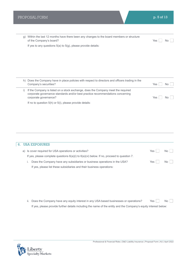| g)        | Within the last 12 months have there been any changes to the board members or structure<br>of the Company's board?                                                                          | Yes | No.       |
|-----------|---------------------------------------------------------------------------------------------------------------------------------------------------------------------------------------------|-----|-----------|
|           | If yes to any questions $5(a)$ to $5(g)$ , please provide details:                                                                                                                          |     |           |
|           |                                                                                                                                                                                             |     |           |
|           |                                                                                                                                                                                             |     |           |
|           |                                                                                                                                                                                             |     |           |
|           |                                                                                                                                                                                             |     |           |
|           |                                                                                                                                                                                             |     |           |
|           |                                                                                                                                                                                             |     |           |
|           | h) Does the Company have in place policies with respect to directors and officers trading in the                                                                                            |     |           |
|           | Company's securities?                                                                                                                                                                       | Yes | <b>No</b> |
| $\vert$ ) | If the Company is listed on a stock exchange, does the Company meet the required<br>corporate governance standards and/or best practice recommendations concerning<br>corporate governance? | Yes | No.       |
|           | If no to question $5(h)$ or $5(i)$ , please provide details:                                                                                                                                |     |           |
|           |                                                                                                                                                                                             |     |           |
|           |                                                                                                                                                                                             |     |           |
|           |                                                                                                                                                                                             |     |           |
|           |                                                                                                                                                                                             |     |           |
|           |                                                                                                                                                                                             |     |           |
|           |                                                                                                                                                                                             |     |           |
|           |                                                                                                                                                                                             |     |           |
|           |                                                                                                                                                                                             |     |           |

| 6. USA EXPOSURES                                                                               |       |      |
|------------------------------------------------------------------------------------------------|-------|------|
| a) Is cover required for USA operations or activities?                                         | Yes I | No I |
| If yes, please complete questions $6(a)(i)$ to $6(a)(vi)$ below. If no, proceed to question 7. |       |      |
| Does the Company have any subsidiaries or business operations in the USA?                      | Yes ' | No l |
| If yes, please list these subsidiaries and their business operations:                          |       |      |

ii. Does the Company have any equity interest in any USA based businesses or operations? Yes  $\Box$  No  $\Box$ If yes, please provide further details including the name of the entity and the Company's equity interest below:

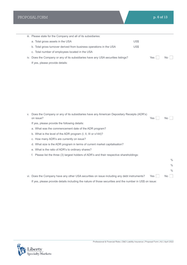| iii. Please state for the Company and all of its subsidiaries:                    |      |     |     |
|-----------------------------------------------------------------------------------|------|-----|-----|
| a. Total gross assets in the USA                                                  | US\$ |     |     |
| b. Total gross turnover derived from business operations in the USA               | US\$ |     |     |
| c. Total number of employees located in the USA                                   |      |     |     |
| iv. Does the Company or any of its subsidiaries have any USA securities listings? |      | Yes | No. |
| If yes, please provide details:                                                   |      |     |     |

| Does the Company or any of its subsidiaries have any American Depositary Receipts (ADR's)<br>V.<br>on issue? | Yes | No.           |
|--------------------------------------------------------------------------------------------------------------|-----|---------------|
| If yes, please provide the following details:                                                                |     |               |
| a. What was the commencement date of the ADR program?                                                        |     |               |
| b. What is the level of the ADR program (I, II, III or s144)?                                                |     |               |
| c. How many ADR's are currently on issue?                                                                    |     |               |
| d. What size is the ADR program in terms of current market capitalisation?                                   |     |               |
| e. What is the ratio of ADR's to ordinary shares?                                                            |     |               |
| f. Please list the three (3) largest holders of ADR's and their respective shareholdings:                    |     |               |
|                                                                                                              |     | $\%$          |
|                                                                                                              |     | $\%$          |
|                                                                                                              |     | $\frac{0}{0}$ |
| vi. Does the Company have any other USA securities on issue including any debt instruments?                  | Yes | No.           |

vi. Does the Company have any other USA securities on issue including any debt instruments?  $Y$ es  $\Box$  No If yes, please provide details including the nature of those securities and the number in US\$ on issue:

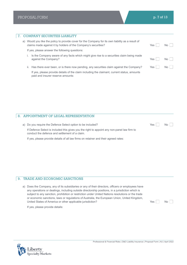|    | <b>COMPANY SECURITIES LIABILITY</b>                                                                                                                               |            |                 |
|----|-------------------------------------------------------------------------------------------------------------------------------------------------------------------|------------|-----------------|
| a) | Would you like the policy to provide cover for the Company for its own liability as a result of<br>claims made against it by holders of the Company's securities? | Yes        | No l            |
|    | If yes, please answer the following questions:                                                                                                                    |            |                 |
|    | Is the Company aware of any facts which might give rise to a securities claim being made<br>against the Company?                                                  | Yes        | No <sub>1</sub> |
|    | ii. Has there ever been, or is there now pending, any securities claim against the Company?                                                                       | <b>Yes</b> | No l            |
|    | If yes, please provide details of the claim including the claimant, current status, amounts<br>paid and insurer reserve amounts:                                  |            |                 |
|    |                                                                                                                                                                   |            |                 |

# 8. APPOINTMENT OF LEGAL REPRESENTATION

| a) Do you require the Defence Select option to be included?                                                                                   | Yes $ $ | No |
|-----------------------------------------------------------------------------------------------------------------------------------------------|---------|----|
| If Defence Select is included this gives you the right to appoint any non-panel law firm to<br>conduct the defence and settlement of a claim. |         |    |
| If yes, please provide details of all law firms on retainer and their agreed rates:                                                           |         |    |

# 9. TRADE AND ECONOMIC SANCTIONS

| a) Does the Company, any of its subsidiaries or any of their directors, officers or employees have |
|----------------------------------------------------------------------------------------------------|
| any operations or dealings, including outside directorship positions, in a jurisdiction which is   |
| subject to any sanction, prohibition or restriction under United Nations resolutions or the trade  |
| or economic sanctions, laws or regulations of Australia, the European Union, United Kingdom,       |
| United States of America or other applicable jurisdiction?                                         |
|                                                                                                    |

 $Yes \Box \qquad No \Box$ 

If yes, please provide details:

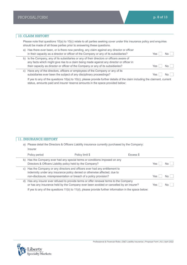# 10. CLAIM HISTORY

Please note that questions 10(a) to 10(c) relate to all parties seeking cover under this insurance policy and enquiries should be made of all those parties prior to answering these questions.

| a) Has there ever been, or is there now pending, any claim against any director or officer<br>in their capacity as a director or officer of the Company or any of its subsidiaries?                                                                                                                                                    | Yes  | NΩ  |
|----------------------------------------------------------------------------------------------------------------------------------------------------------------------------------------------------------------------------------------------------------------------------------------------------------------------------------------|------|-----|
| b) Is the Company, any of its subsidiaries or any of their directors or officers aware of<br>any facts which might give rise to a claim being made against any director or officer in<br>their capacity as director or officer of the Company or any of its subsidiaries?                                                              | Yes. | NΩ  |
| c) Have any of the directors, officers or employees of the Company or any of its<br>subsidiaries ever been the subject of any disciplinary proceedings?<br>$10 \ldots$ and $10 \ldots$ and $10 \ldots$ and $10 \ldots$ and $10 \ldots$ and $10 \ldots$ and $10 \ldots$ and $10 \ldots$ and $10 \ldots$ and $10 \ldots$ and $10 \ldots$ | Yes  | No. |

If yes to any of the questions 10(a) to 10(c), please provide further details of the claim including the claimant, current status, amounts paid and insurer reserve amounts in the space provided below:

# 11. INSURANCE HISTORY

a) Please detail the Directors & Officers Liability insurance currently purchased by the Company: Insurer

|    | Policy period                                                      | Policy limit \$                                                                                                                                                                                                                                                                           | Excess \$ |      |  |
|----|--------------------------------------------------------------------|-------------------------------------------------------------------------------------------------------------------------------------------------------------------------------------------------------------------------------------------------------------------------------------------|-----------|------|--|
|    | Directors & Officers Liability policy held by the Company?         | b) Has the Company ever had any special terms or conditions imposed on any                                                                                                                                                                                                                |           | Yes. |  |
| C) | non-disclosure, misrepresentation or breach of a policy provision? | Has the Company or any directors and officers ever had any entitlement to<br>indemnity under any insurance policy denied or otherwise affected, due to                                                                                                                                    |           | Yes  |  |
|    |                                                                    | d) Has any insurer ever refused to provide terms or offer renewal terms to the Company<br>or has any insurance held by the Company ever been avoided or cancelled by an insurer?<br>If yes to any of the questions 11(b) to 11(d), please provide further information in the space below: |           | Yes  |  |

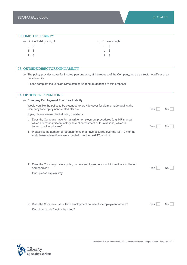## 12. LIMIT OF LIABILITY

|           | a) Limit of liability sought: |          | b) Excess sought: |  |  |
|-----------|-------------------------------|----------|-------------------|--|--|
| i. Si     |                               | i. Si    |                   |  |  |
| ii. S     |                               | $ii.$ \$ |                   |  |  |
| $iii.$ \$ |                               | iii. S   |                   |  |  |

### 13. OUTSIDE DIRECTORSHIP LIABILITY

a) The policy provides cover for Insured persons who, at the request of the Company, act as a director or officer of an outside entity.

Please complete the Outside Directorships Addendum attached to this proposal.

# 14. OPTIONAL EXTENSIONS a) **Company Employment Practices Liability** Would you like the policy to be extended to provide cover for claims made against the Company for employment related claims? No wave a set of the set of the set of the set of the No was not the No If yes, please answer the following questions: i. Does the Company have formal written employment procedures (e.g. HR manual which addresses discriminatory sexual harassment or terminations) which is issued to all employees? No work and the set of the set of the set of the set of the set of the set of the set of the set of the set of the set of the set of the set of the set of the set of the set of the set of the set o ii. Please list the number of retrenchments that have occurred over the last 12 months and please advise if any are expected over the next 12 months: iii. Does the Company have a policy on how employee personal information is collected and handled? and handled? Note a set of the set of the set of the set of the set of the set of the set of the set of the set of the set of the set of the set of the set of the set of the set of the set of the set of the set of the set If no, please explain why: iv. Does the Company use outside employment counsel for employment advice?  $Yes$   $\Box$  No If no, how is this function handled?

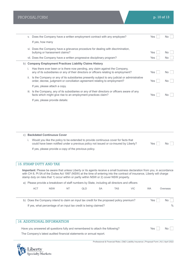|    |                               |                                   |           | v. Does the Company have a written employment contract with any employee?                                                                                                                                                             |           |            |                                                                                                                                                                                                                                                        | Yes       | No       |
|----|-------------------------------|-----------------------------------|-----------|---------------------------------------------------------------------------------------------------------------------------------------------------------------------------------------------------------------------------------------|-----------|------------|--------------------------------------------------------------------------------------------------------------------------------------------------------------------------------------------------------------------------------------------------------|-----------|----------|
|    | If yes, how many              |                                   |           |                                                                                                                                                                                                                                       |           |            |                                                                                                                                                                                                                                                        |           |          |
|    |                               | bullying or harassment claims?    |           | vi. Does the Company have a grievance procedure for dealing with discrimination,                                                                                                                                                      |           |            |                                                                                                                                                                                                                                                        | Yes       | No       |
|    |                               |                                   |           | vii. Does the Company have a written progressive disciplinary program?                                                                                                                                                                |           |            |                                                                                                                                                                                                                                                        | Yes       | No.      |
|    |                               |                                   |           | b) Company Employment Practices Liability Claims History                                                                                                                                                                              |           |            |                                                                                                                                                                                                                                                        |           |          |
| İ. |                               |                                   |           | Has there ever been or is there now pending, any claim against the Company,<br>any of its subsidiaries or any of their directors or officers relating to employment?                                                                  |           |            |                                                                                                                                                                                                                                                        | Yes       | No.      |
|    |                               |                                   |           | order, decree, judgment or conciliation agreement relating to employment?                                                                                                                                                             |           |            | ii. Is the Company or any of its subsidiaries presently subject to any judicial or administrative                                                                                                                                                      | Yes       | No.      |
|    |                               | If yes, please attach a copy.     |           |                                                                                                                                                                                                                                       |           |            |                                                                                                                                                                                                                                                        |           |          |
|    |                               |                                   |           | iii. Is the Company, any of its subsidiaries or any of their directors or officers aware of any<br>facts which might give rise to an employment practices claim?                                                                      |           |            |                                                                                                                                                                                                                                                        | Yes       | No.      |
|    |                               | If yes, please provide details:   |           |                                                                                                                                                                                                                                       |           |            |                                                                                                                                                                                                                                                        |           |          |
| İ. |                               | c) Backdated Continuous Cover     |           | Would you like the policy to be extended to provide continuous cover for facts that<br>could have been notified under a previous policy not issued or co-insured by Liberty?<br>If yes, please provide a copy of the previous policy. |           |            |                                                                                                                                                                                                                                                        | Yes       | No.      |
|    |                               |                                   |           |                                                                                                                                                                                                                                       |           |            |                                                                                                                                                                                                                                                        |           |          |
|    | <b>15. STAMP DUTY AND TAX</b> |                                   |           |                                                                                                                                                                                                                                       |           |            |                                                                                                                                                                                                                                                        |           |          |
|    |                               |                                   |           | stamp duty on risks that 1) occur within or partly within NSW or 2) cover NSW property.                                                                                                                                               |           |            | Important: Please be aware that unless Liberty or its agents receive a small business declaration from you, in accordance<br>with CH 8, Pt 5A of the Duties Act 1997 (NSW) at the time of entering into the contract of insurance, Liberty will charge |           |          |
|    |                               |                                   |           | a) Please provide a breakdown of staff numbers by State, including all directors and officers                                                                                                                                         |           |            |                                                                                                                                                                                                                                                        |           |          |
|    | <b>ACT</b>                    | <b>NSW</b>                        | <b>NT</b> | QLD                                                                                                                                                                                                                                   | <b>SA</b> | <b>TAS</b> | VIC                                                                                                                                                                                                                                                    | <b>WA</b> | Overseas |
|    |                               |                                   |           | b) Does the Company intend to claim an input tax credit for the proposed policy premium?                                                                                                                                              |           |            |                                                                                                                                                                                                                                                        | Yes       | No       |
|    |                               |                                   |           | If yes, what percentage of an input tax credit is being claimed?                                                                                                                                                                      |           |            |                                                                                                                                                                                                                                                        |           | $\%$     |
|    |                               |                                   |           |                                                                                                                                                                                                                                       |           |            |                                                                                                                                                                                                                                                        |           |          |
|    |                               |                                   |           |                                                                                                                                                                                                                                       |           |            |                                                                                                                                                                                                                                                        |           |          |
|    |                               | <b>16. ADDITIONAL INFORMATION</b> |           |                                                                                                                                                                                                                                       |           |            |                                                                                                                                                                                                                                                        |           |          |

Have you answered all questions fully and remembered to attach the following? Yes Yes No The Company's latest audited financial statements or annual report.



Professional & Financial Risks | D&O Liability Insurance | Proposal Form | AU | April 2022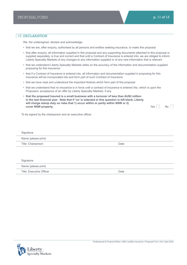# 17. DECLARATION

We, the undersigned, declare and acknowledge:

- that we are, after enquiry, authorised by all persons and entities seeking insurance, to make this proposal
- that after enquiry, all information supplied in this proposal and any supporting documents attached to this proposal or supplied separately, is true and correct and that until a Contract of Insurance is entered into, we are obliged to inform Liberty Specialty Markets of any changes to any information supplied or of any new information that is relevant
- that we understand Liberty Specialty Markets relies on the accuracy of the information and documentation supplied proposing for this insurance
- that if a Contract of Insurance is entered into, all information and documentation supplied in proposing for this insurance will be incorporated into and form part of such Contract of Insurance
- that we have read and understood the Important Notices which form part of this proposal
- that we understand that no insurance is in force until a contract of insurance is entered into, which is upon the Proposers' acceptance of an offer by Liberty Specialty Markets, if any
- **that the proposed Insured is a small business with a turnover of less than AU\$2 million in the last financial year. Note that if 'no' is selected or this question is left blank, Liberty will charge stamp duty on risks that 1) occur within or partly within NSW or 2) cover NSW property.** No **not cover NSW property.** No **not cover NSW property.**

To be signed by the chairperson and an executive officer.

| Signature           |      |  |
|---------------------|------|--|
| Name (please print) |      |  |
| Title: Chairperson  | Date |  |

| Signature                |      |  |  |  |  |  |
|--------------------------|------|--|--|--|--|--|
| Name (please print)      |      |  |  |  |  |  |
| Title: Executive Officer | Date |  |  |  |  |  |

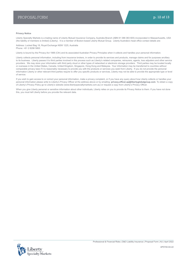#### **Privacy Notice**

Liberty Specialty Markets is a trading name of Liberty Mutual Insurance Company, Australia Branch (ABN 61 086 083 605) incorporated in Massachusetts, USA (the liability of members is limited) (Liberty). It is a member of Boston-based Liberty Mutual Group. Liberty Australia's head office contact details are:

Address: Locked Bag 18, Royal Exchange NSW 1225, Australia Phone: +61 2 8298 5800

Liberty is bound by the Privacy Act 1988 (Cth) and its associated Australian Privacy Principles when it collects and handles your personal information.

Liberty collects personal information, including from insurance brokers, in order to provide its services and products, manage claims and for purposes ancillary to its business. Liberty passes it to third parties involved in this process such as Liberty's related companies, reinsurers, agents, loss adjusters and other service providers. We may store your information with third party cloud or other types of networked or electronic storage providers. Third parties may be located locally or overseas in the United States, Canada, United Kingdom, Singapore, Hong Kong and Malaysia. Your information may be transferred to countries without comparable privacy laws if it is reasonably necessary to provide you with the products or services you seek from Liberty. If you do not provide the personal information Liberty or other relevant third parties require to offer you specific products or services, Liberty may not be able to provide the appropriate type or level of service.

If you wish to gain access to or correct your personal information, make a privacy complaint, or if you have any query about how Liberty collects or handles your personal information please write to Liberty's Privacy Officer at the address above or by emailing: **privacy.officer.ap@libertyglobalgroup.com**. To obtain a copy of Liberty's Privacy Policy go to Liberty's website (www.libertyspecialtymarkets.com.au) or request a copy from Liberty's Privacy Officer.

When you give Liberty personal or sensitive information about other individuals, Liberty relies on you to provide its Privacy Notice to them. If you have not done this, you must tell Liberty before you provide the relevant data.